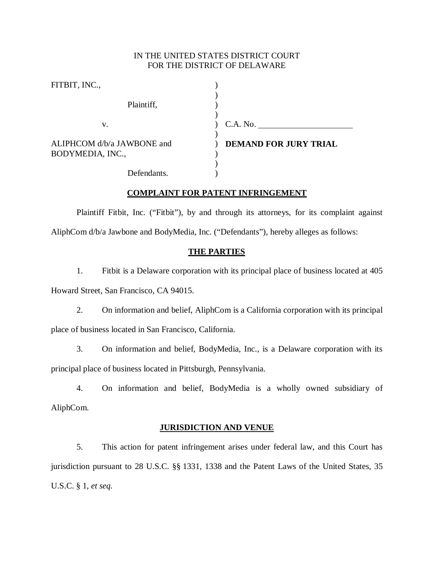# IN THE UNITED STATES DISTRICT COURT FOR THE DISTRICT OF DELAWARE

| FITBIT, INC.,                                  |                              |
|------------------------------------------------|------------------------------|
| Plaintiff,                                     |                              |
| v.                                             | C.A. No.                     |
| ALIPHCOM d/b/a JAWBONE and<br>BODYMEDIA, INC., | <b>DEMAND FOR JURY TRIAL</b> |
| Defendants.                                    |                              |

## **COMPLAINT FOR PATENT INFRINGEMENT**

Plaintiff Fitbit, Inc. ("Fitbit"), by and through its attorneys, for its complaint against AliphCom d/b/a Jawbone and BodyMedia, Inc. ("Defendants"), hereby alleges as follows:

### **THE PARTIES**

1. Fitbit is a Delaware corporation with its principal place of business located at 405 Howard Street, San Francisco, CA 94015.

2. On information and belief, AliphCom is a California corporation with its principal place of business located in San Francisco, California.

3. On information and belief, BodyMedia, Inc., is a Delaware corporation with its principal place of business located in Pittsburgh, Pennsylvania.

4. On information and belief, BodyMedia is a wholly owned subsidiary of AliphCom.

### **JURISDICTION AND VENUE**

5. This action for patent infringement arises under federal law, and this Court has jurisdiction pursuant to 28 U.S.C. §§ 1331, 1338 and the Patent Laws of the United States, 35 U.S.C. § 1, *et seq.*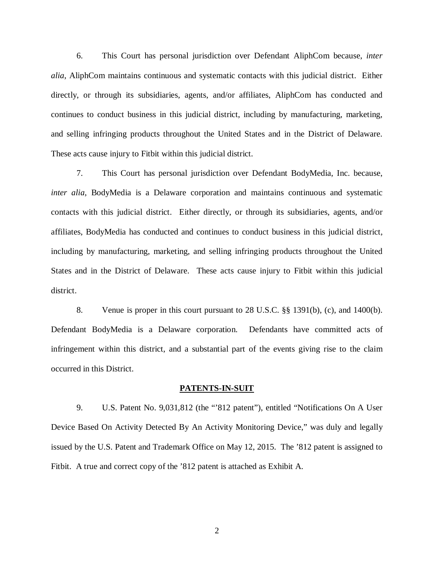6. This Court has personal jurisdiction over Defendant AliphCom because, *inter alia*, AliphCom maintains continuous and systematic contacts with this judicial district. Either directly, or through its subsidiaries, agents, and/or affiliates, AliphCom has conducted and continues to conduct business in this judicial district, including by manufacturing, marketing, and selling infringing products throughout the United States and in the District of Delaware. These acts cause injury to Fitbit within this judicial district.

7. This Court has personal jurisdiction over Defendant BodyMedia, Inc. because, *inter alia*, BodyMedia is a Delaware corporation and maintains continuous and systematic contacts with this judicial district. Either directly, or through its subsidiaries, agents, and/or affiliates, BodyMedia has conducted and continues to conduct business in this judicial district, including by manufacturing, marketing, and selling infringing products throughout the United States and in the District of Delaware. These acts cause injury to Fitbit within this judicial district.

8. Venue is proper in this court pursuant to 28 U.S.C. §§ 1391(b), (c), and 1400(b). Defendant BodyMedia is a Delaware corporation. Defendants have committed acts of infringement within this district, and a substantial part of the events giving rise to the claim occurred in this District.

#### **PATENTS-IN-SUIT**

9. U.S. Patent No. 9,031,812 (the "'812 patent"), entitled "Notifications On A User Device Based On Activity Detected By An Activity Monitoring Device," was duly and legally issued by the U.S. Patent and Trademark Office on May 12, 2015. The '812 patent is assigned to Fitbit. A true and correct copy of the '812 patent is attached as Exhibit A.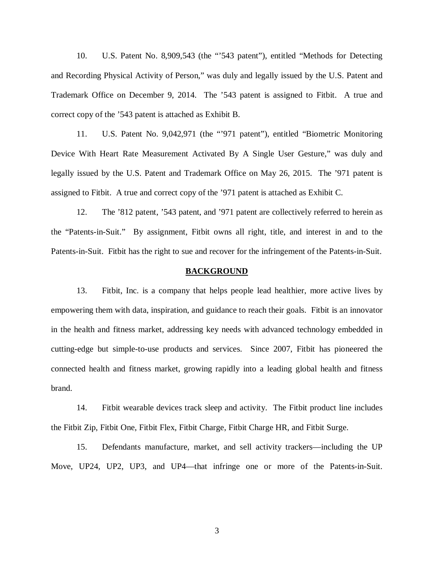10. U.S. Patent No. 8,909,543 (the "'543 patent"), entitled "Methods for Detecting and Recording Physical Activity of Person," was duly and legally issued by the U.S. Patent and Trademark Office on December 9, 2014. The '543 patent is assigned to Fitbit. A true and correct copy of the '543 patent is attached as Exhibit B.

11. U.S. Patent No. 9,042,971 (the "'971 patent"), entitled "Biometric Monitoring Device With Heart Rate Measurement Activated By A Single User Gesture," was duly and legally issued by the U.S. Patent and Trademark Office on May 26, 2015. The '971 patent is assigned to Fitbit. A true and correct copy of the '971 patent is attached as Exhibit C.

12. The '812 patent, '543 patent, and '971 patent are collectively referred to herein as the "Patents-in-Suit." By assignment, Fitbit owns all right, title, and interest in and to the Patents-in-Suit. Fitbit has the right to sue and recover for the infringement of the Patents-in-Suit.

#### **BACKGROUND**

13. Fitbit, Inc. is a company that helps people lead healthier, more active lives by empowering them with data, inspiration, and guidance to reach their goals. Fitbit is an innovator in the health and fitness market, addressing key needs with advanced technology embedded in cutting-edge but simple-to-use products and services. Since 2007, Fitbit has pioneered the connected health and fitness market, growing rapidly into a leading global health and fitness brand.

14. Fitbit wearable devices track sleep and activity. The Fitbit product line includes the Fitbit Zip, Fitbit One, Fitbit Flex, Fitbit Charge, Fitbit Charge HR, and Fitbit Surge.

15. Defendants manufacture, market, and sell activity trackers—including the UP Move, UP24, UP2, UP3, and UP4—that infringe one or more of the Patents-in-Suit.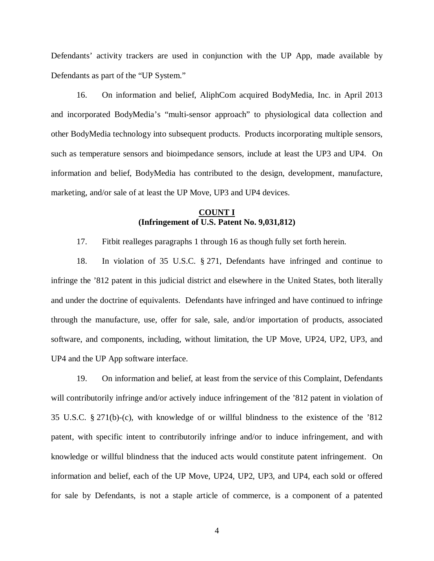Defendants' activity trackers are used in conjunction with the UP App, made available by Defendants as part of the "UP System."

16. On information and belief, AliphCom acquired BodyMedia, Inc. in April 2013 and incorporated BodyMedia's "multi-sensor approach" to physiological data collection and other BodyMedia technology into subsequent products. Products incorporating multiple sensors, such as temperature sensors and bioimpedance sensors, include at least the UP3 and UP4. On information and belief, BodyMedia has contributed to the design, development, manufacture, marketing, and/or sale of at least the UP Move, UP3 and UP4 devices.

## **COUNT I (Infringement of U.S. Patent No. 9,031,812)**

17. Fitbit realleges paragraphs 1 through 16 as though fully set forth herein.

18. In violation of 35 U.S.C. § 271, Defendants have infringed and continue to infringe the '812 patent in this judicial district and elsewhere in the United States, both literally and under the doctrine of equivalents. Defendants have infringed and have continued to infringe through the manufacture, use, offer for sale, sale, and/or importation of products, associated software, and components, including, without limitation, the UP Move, UP24, UP2, UP3, and UP4 and the UP App software interface.

19. On information and belief, at least from the service of this Complaint, Defendants will contributorily infringe and/or actively induce infringement of the '812 patent in violation of 35 U.S.C. § 271(b)-(c), with knowledge of or willful blindness to the existence of the '812 patent, with specific intent to contributorily infringe and/or to induce infringement, and with knowledge or willful blindness that the induced acts would constitute patent infringement. On information and belief, each of the UP Move, UP24, UP2, UP3, and UP4, each sold or offered for sale by Defendants, is not a staple article of commerce, is a component of a patented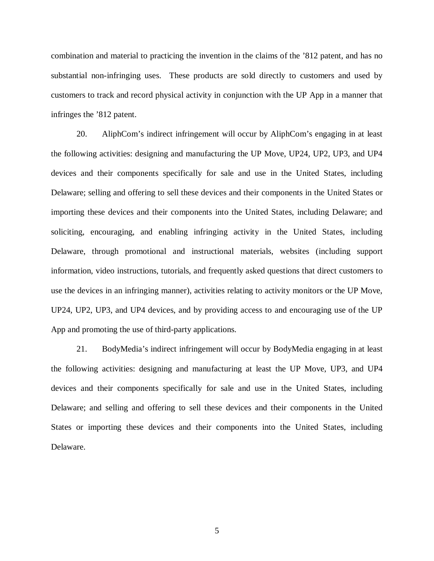combination and material to practicing the invention in the claims of the '812 patent, and has no substantial non-infringing uses. These products are sold directly to customers and used by customers to track and record physical activity in conjunction with the UP App in a manner that infringes the '812 patent.

20. AliphCom's indirect infringement will occur by AliphCom's engaging in at least the following activities: designing and manufacturing the UP Move, UP24, UP2, UP3, and UP4 devices and their components specifically for sale and use in the United States, including Delaware; selling and offering to sell these devices and their components in the United States or importing these devices and their components into the United States, including Delaware; and soliciting, encouraging, and enabling infringing activity in the United States, including Delaware, through promotional and instructional materials, websites (including support information, video instructions, tutorials, and frequently asked questions that direct customers to use the devices in an infringing manner), activities relating to activity monitors or the UP Move, UP24, UP2, UP3, and UP4 devices, and by providing access to and encouraging use of the UP App and promoting the use of third-party applications.

21. BodyMedia's indirect infringement will occur by BodyMedia engaging in at least the following activities: designing and manufacturing at least the UP Move, UP3, and UP4 devices and their components specifically for sale and use in the United States, including Delaware; and selling and offering to sell these devices and their components in the United States or importing these devices and their components into the United States, including Delaware.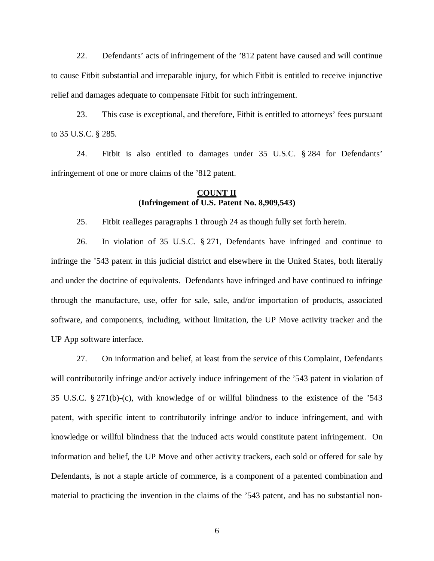22. Defendants' acts of infringement of the '812 patent have caused and will continue to cause Fitbit substantial and irreparable injury, for which Fitbit is entitled to receive injunctive relief and damages adequate to compensate Fitbit for such infringement.

23. This case is exceptional, and therefore, Fitbit is entitled to attorneys' fees pursuant to 35 U.S.C. § 285.

24. Fitbit is also entitled to damages under 35 U.S.C. § 284 for Defendants' infringement of one or more claims of the '812 patent.

# **COUNT II (Infringement of U.S. Patent No. 8,909,543)**

25. Fitbit realleges paragraphs 1 through 24 as though fully set forth herein.

26. In violation of 35 U.S.C. § 271, Defendants have infringed and continue to infringe the '543 patent in this judicial district and elsewhere in the United States, both literally and under the doctrine of equivalents. Defendants have infringed and have continued to infringe through the manufacture, use, offer for sale, sale, and/or importation of products, associated software, and components, including, without limitation, the UP Move activity tracker and the UP App software interface.

27. On information and belief, at least from the service of this Complaint, Defendants will contributorily infringe and/or actively induce infringement of the '543 patent in violation of 35 U.S.C. § 271(b)-(c), with knowledge of or willful blindness to the existence of the '543 patent, with specific intent to contributorily infringe and/or to induce infringement, and with knowledge or willful blindness that the induced acts would constitute patent infringement. On information and belief, the UP Move and other activity trackers, each sold or offered for sale by Defendants, is not a staple article of commerce, is a component of a patented combination and material to practicing the invention in the claims of the '543 patent, and has no substantial non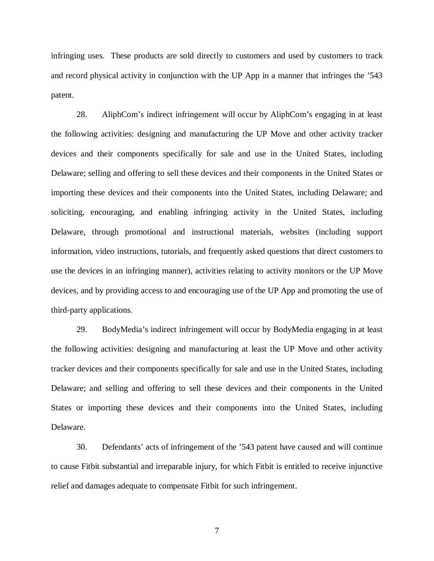infringing uses. These products are sold directly to customers and used by customers to track and record physical activity in conjunction with the UP App in a manner that infringes the '543 patent.

28. AliphCom's indirect infringement will occur by AliphCom's engaging in at least the following activities: designing and manufacturing the UP Move and other activity tracker devices and their components specifically for sale and use in the United States, including Delaware; selling and offering to sell these devices and their components in the United States or importing these devices and their components into the United States, including Delaware; and soliciting, encouraging, and enabling infringing activity in the United States, including Delaware, through promotional and instructional materials, websites (including support information, video instructions, tutorials, and frequently asked questions that direct customers to use the devices in an infringing manner), activities relating to activity monitors or the UP Move devices, and by providing access to and encouraging use of the UP App and promoting the use of third-party applications.

29. BodyMedia's indirect infringement will occur by BodyMedia engaging in at least the following activities: designing and manufacturing at least the UP Move and other activity tracker devices and their components specifically for sale and use in the United States, including Delaware; and selling and offering to sell these devices and their components in the United States or importing these devices and their components into the United States, including Delaware.

30. Defendants' acts of infringement of the '543 patent have caused and will continue to cause Fitbit substantial and irreparable injury, for which Fitbit is entitled to receive injunctive relief and damages adequate to compensate Fitbit for such infringement.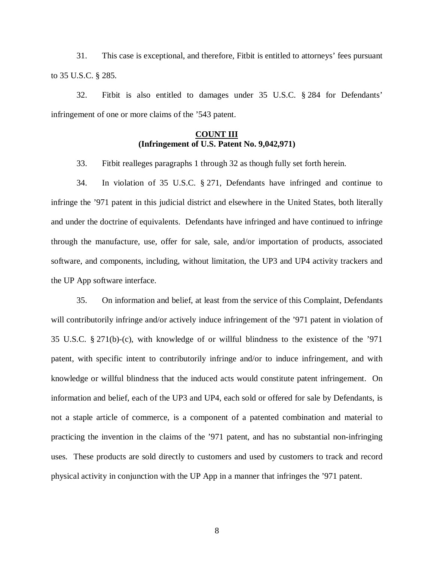31. This case is exceptional, and therefore, Fitbit is entitled to attorneys' fees pursuant to 35 U.S.C. § 285.

32. Fitbit is also entitled to damages under 35 U.S.C. § 284 for Defendants' infringement of one or more claims of the '543 patent.

# **COUNT III (Infringement of U.S. Patent No. 9,042,971)**

33. Fitbit realleges paragraphs 1 through 32 as though fully set forth herein.

34. In violation of 35 U.S.C. § 271, Defendants have infringed and continue to infringe the '971 patent in this judicial district and elsewhere in the United States, both literally and under the doctrine of equivalents. Defendants have infringed and have continued to infringe through the manufacture, use, offer for sale, sale, and/or importation of products, associated software, and components, including, without limitation, the UP3 and UP4 activity trackers and the UP App software interface.

35. On information and belief, at least from the service of this Complaint, Defendants will contributorily infringe and/or actively induce infringement of the '971 patent in violation of 35 U.S.C. § 271(b)-(c), with knowledge of or willful blindness to the existence of the '971 patent, with specific intent to contributorily infringe and/or to induce infringement, and with knowledge or willful blindness that the induced acts would constitute patent infringement. On information and belief, each of the UP3 and UP4, each sold or offered for sale by Defendants, is not a staple article of commerce, is a component of a patented combination and material to practicing the invention in the claims of the '971 patent, and has no substantial non-infringing uses. These products are sold directly to customers and used by customers to track and record physical activity in conjunction with the UP App in a manner that infringes the '971 patent.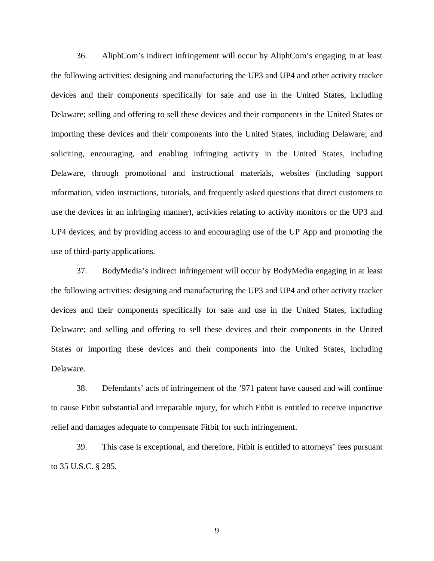36. AliphCom's indirect infringement will occur by AliphCom's engaging in at least the following activities: designing and manufacturing the UP3 and UP4 and other activity tracker devices and their components specifically for sale and use in the United States, including Delaware; selling and offering to sell these devices and their components in the United States or importing these devices and their components into the United States, including Delaware; and soliciting, encouraging, and enabling infringing activity in the United States, including Delaware, through promotional and instructional materials, websites (including support information, video instructions, tutorials, and frequently asked questions that direct customers to use the devices in an infringing manner), activities relating to activity monitors or the UP3 and UP4 devices, and by providing access to and encouraging use of the UP App and promoting the use of third-party applications.

37. BodyMedia's indirect infringement will occur by BodyMedia engaging in at least the following activities: designing and manufacturing the UP3 and UP4 and other activity tracker devices and their components specifically for sale and use in the United States, including Delaware; and selling and offering to sell these devices and their components in the United States or importing these devices and their components into the United States, including Delaware.

38. Defendants' acts of infringement of the '971 patent have caused and will continue to cause Fitbit substantial and irreparable injury, for which Fitbit is entitled to receive injunctive relief and damages adequate to compensate Fitbit for such infringement.

39. This case is exceptional, and therefore, Fitbit is entitled to attorneys' fees pursuant to 35 U.S.C. § 285.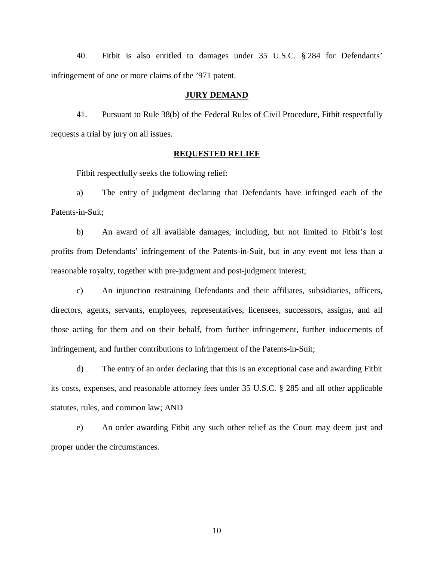40. Fitbit is also entitled to damages under 35 U.S.C. § 284 for Defendants' infringement of one or more claims of the '971 patent.

#### **JURY DEMAND**

41. Pursuant to Rule 38(b) of the Federal Rules of Civil Procedure, Fitbit respectfully requests a trial by jury on all issues.

#### **REQUESTED RELIEF**

Fitbit respectfully seeks the following relief:

a) The entry of judgment declaring that Defendants have infringed each of the Patents-in-Suit;

b) An award of all available damages, including, but not limited to Fitbit's lost profits from Defendants' infringement of the Patents-in-Suit, but in any event not less than a reasonable royalty, together with pre-judgment and post-judgment interest;

c) An injunction restraining Defendants and their affiliates, subsidiaries, officers, directors, agents, servants, employees, representatives, licensees, successors, assigns, and all those acting for them and on their behalf, from further infringement, further inducements of infringement, and further contributions to infringement of the Patents-in-Suit;

d) The entry of an order declaring that this is an exceptional case and awarding Fitbit its costs, expenses, and reasonable attorney fees under 35 U.S.C. § 285 and all other applicable statutes, rules, and common law; AND

e) An order awarding Fitbit any such other relief as the Court may deem just and proper under the circumstances.